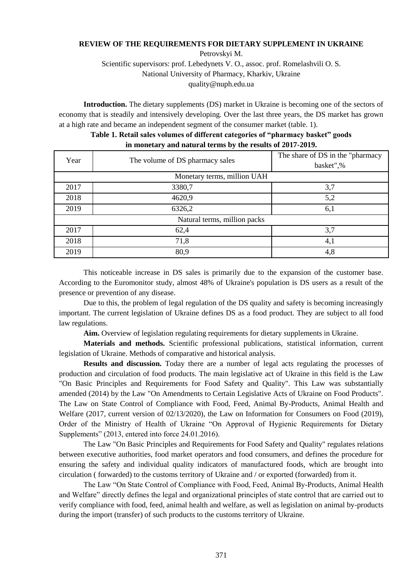## **REVIEW OF THE REQUIREMENTS FOR DIETARY SUPPLEMENT IN UKRAINE**

Petrovskyi M.

Scientific supervisors: prof. Lebedynets V. O., assoc. prof. Romelashvili O. S. National University of Pharmacy, Kharkiv, Ukraine [quality@nuph.edu.ua](mailto:quality@nuph.edu.ua)

**Introduction.** The dietary supplements (DS) market in Ukraine is becoming one of the sectors of economy that is steadily and intensively developing. Over the last three years, the DS market has grown at a high rate and became an independent segment of the consumer market (table. 1).

| Year                         | The volume of DS pharmacy sales | The share of DS in the "pharmacy"<br>basket",% |
|------------------------------|---------------------------------|------------------------------------------------|
| Monetary terms, million UAH  |                                 |                                                |
| 2017                         | 3380,7                          | 3,7                                            |
| 2018                         | 4620,9                          | 5,2                                            |
| 2019                         | 6326,2                          | 6,1                                            |
| Natural terms, million packs |                                 |                                                |
| 2017                         | 62,4                            | 3,7                                            |
| 2018                         | 71,8                            | 4,1                                            |
| 2019                         | 80,9                            | 4,8                                            |

## **Table 1. Retail sales volumes of different categories of "pharmacy basket" goods in monetary and natural terms by the results of 2017-2019.**

This noticeable increase in DS sales is primarily due to the expansion of the customer base. According to the Euromonitor study, almost 48% of Ukraine's population is DS users as a result of the presence or prevention of any disease.

Due to this, the problem of legal regulation of the DS quality and safety is becoming increasingly important. The current legislation of Ukraine defines DS as a food product. They are subject to all food law regulations.

**Aim.** Overview of legislation regulating requirements for dietary supplements in Ukraine.

**Materials and methods.** Scientific professional publications, statistical information, current legislation of Ukraine. Methods of comparative and historical analysis.

**Results and discussion.** Today there are a number of legal acts regulating the processes of production and circulation of food products. The main legislative act of Ukraine in this field is the Law "On Basic Principles and Requirements for Food Safety and Quality". This Law was substantially amended (2014) by the Law "On Amendments to Certain Legislative Acts of Ukraine on Food Products". The Law on State Control of Compliance with Food, Feed, Animal By-Products, Animal Health and Welfare (2017, current version of 02/13/2020), the Law on Information for Consumers on Food (2019), Order of the Ministry of Health of Ukraine "On Approval of Hygienic Requirements for Dietary Supplements" (2013, entered into force 24.01.2016).

The Law "On Basic Principles and Requirements for Food Safety and Quality" regulates relations between executive authorities, food market operators and food consumers, and defines the procedure for ensuring the safety and individual quality indicators of manufactured foods, which are brought into circulation ( forwarded) to the customs territory of Ukraine and / or exported (forwarded) from it.

The Law "On State Control of Compliance with Food, Feed, Animal By-Products, Animal Health and Welfare" directly defines the legal and organizational principles of state control that are carried out to verify compliance with food, feed, animal health and welfare, as well as legislation on animal by-products during the import (transfer) of such products to the customs territory of Ukraine.